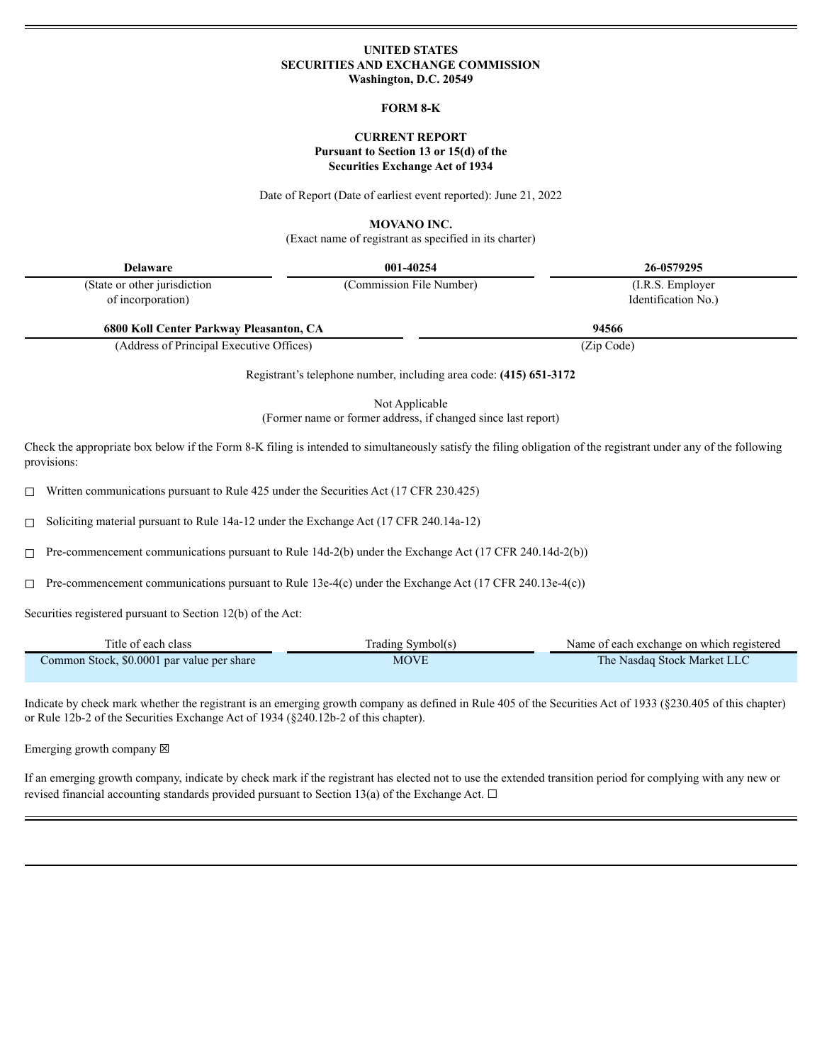### **UNITED STATES SECURITIES AND EXCHANGE COMMISSION Washington, D.C. 20549**

#### **FORM 8-K**

### **CURRENT REPORT Pursuant to Section 13 or 15(d) of the Securities Exchange Act of 1934**

Date of Report (Date of earliest event reported): June 21, 2022

**MOVANO INC.**

(Exact name of registrant as specified in its charter)

| Delaware                      | 001-40254                | 26-0579295          |
|-------------------------------|--------------------------|---------------------|
| (State or other jurisdiction) | (Commission File Number) | (I.R.S. Employer)   |
| of incorporation)             |                          | Identification No.) |

**6800 Koll Center Parkway Pleasanton, CA 94566**

(Address of Principal Executive Offices) (Zip Code)

Registrant's telephone number, including area code: **(415) 651-3172**

Not Applicable (Former name or former address, if changed since last report)

Check the appropriate box below if the Form 8-K filing is intended to simultaneously satisfy the filing obligation of the registrant under any of the following provisions:

☐ Written communications pursuant to Rule 425 under the Securities Act (17 CFR 230.425)

☐ Soliciting material pursuant to Rule 14a-12 under the Exchange Act (17 CFR 240.14a-12)

☐ Pre-commencement communications pursuant to Rule 14d-2(b) under the Exchange Act (17 CFR 240.14d-2(b))

☐ Pre-commencement communications pursuant to Rule 13e-4(c) under the Exchange Act (17 CFR 240.13e-4(c))

Securities registered pursuant to Section 12(b) of the Act:

| Title of each class                        | Trading Symbol(s) | Name of each exchange on which registered |
|--------------------------------------------|-------------------|-------------------------------------------|
| Common Stock, \$0.0001 par value per share | <b>MOVE</b>       | The Nasdaq Stock Market LLC               |

Indicate by check mark whether the registrant is an emerging growth company as defined in Rule 405 of the Securities Act of 1933 (§230.405 of this chapter) or Rule 12b-2 of the Securities Exchange Act of 1934 (§240.12b-2 of this chapter).

Emerging growth company  $\boxtimes$ 

If an emerging growth company, indicate by check mark if the registrant has elected not to use the extended transition period for complying with any new or revised financial accounting standards provided pursuant to Section 13(a) of the Exchange Act.  $\Box$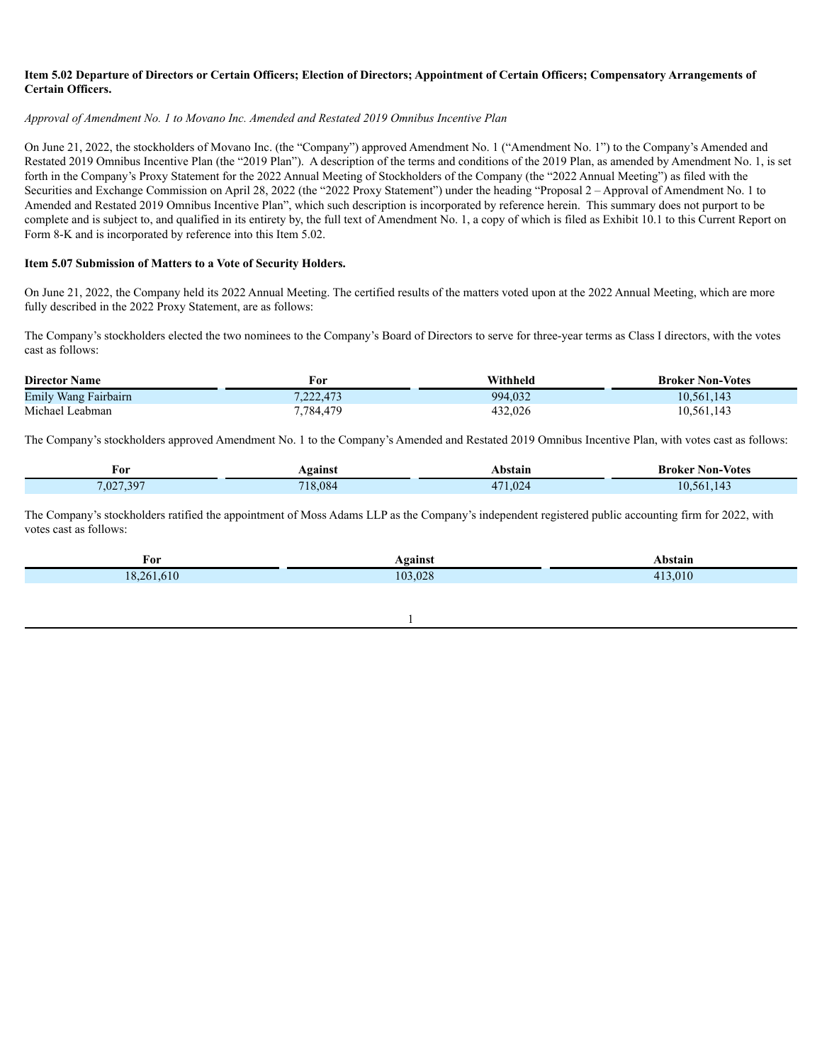### Item 5.02 Departure of Directors or Certain Officers; Election of Directors; Appointment of Certain Officers; Compensatory Arrangements of **Certain Officers.**

### *Approval of Amendment No. 1 to Movano Inc. Amended and Restated 2019 Omnibus Incentive Plan*

On June 21, 2022, the stockholders of Movano Inc. (the "Company") approved Amendment No. 1 ("Amendment No. 1") to the Company's Amended and Restated 2019 Omnibus Incentive Plan (the "2019 Plan"). A description of the terms and conditions of the 2019 Plan, as amended by Amendment No. 1, is set forth in the Company's Proxy Statement for the 2022 Annual Meeting of Stockholders of the Company (the "2022 Annual Meeting") as filed with the Securities and Exchange Commission on April 28, 2022 (the "2022 Proxy Statement") under the heading "Proposal 2 – Approval of Amendment No. 1 to Amended and Restated 2019 Omnibus Incentive Plan", which such description is incorporated by reference herein. This summary does not purport to be complete and is subject to, and qualified in its entirety by, the full text of Amendment No. 1, a copy of which is filed as Exhibit 10.1 to this Current Report on Form 8-K and is incorporated by reference into this Item 5.02.

### **Item 5.07 Submission of Matters to a Vote of Security Holders.**

On June 21, 2022, the Company held its 2022 Annual Meeting. The certified results of the matters voted upon at the 2022 Annual Meeting, which are more fully described in the 2022 Proxy Statement, are as follows:

The Company's stockholders elected the two nominees to the Company's Board of Directors to serve for three-year terms as Class I directors, with the votes cast as follows:

| <b>Director Name</b> | For       | Withheld | <b>Broker Non-Votes</b> |
|----------------------|-----------|----------|-------------------------|
| Emily Wang Fairbairn | 7.222.473 | 994,032  | 10,561,143              |
| Michael Leabman      | 7,784,479 | 432,026  | 10,561,143              |

The Company's stockholders approved Amendment No. 1 to the Company's Amended and Restated 2019 Omnibus Incentive Plan, with votes cast as follows:

| For       | Against | Abstain | <b>Broker Non-</b><br>- Votes |
|-----------|---------|---------|-------------------------------|
| 7,027,397 | 718,084 | 171,024 | $\sim$<br>10.561.143          |

The Company's stockholders ratified the appointment of Moss Adams LLP as the Company's independent registered public accounting firm for 2022, with votes cast as follows:

| For                   | Vgainst<br>$\sim$ $\sim$ | `bstain<br>.                                                                                                                                                            |
|-----------------------|--------------------------|-------------------------------------------------------------------------------------------------------------------------------------------------------------------------|
| 18<br>$\overline{16}$ | .028<br>۱۵3<br>. .       | $\wedge$ 1<br>.v 1 v<br><b>Contract Contract Contract Contract Contract Contract Contract Contract Contract Contract Contract Contract Co</b><br><b>Service Service</b> |

1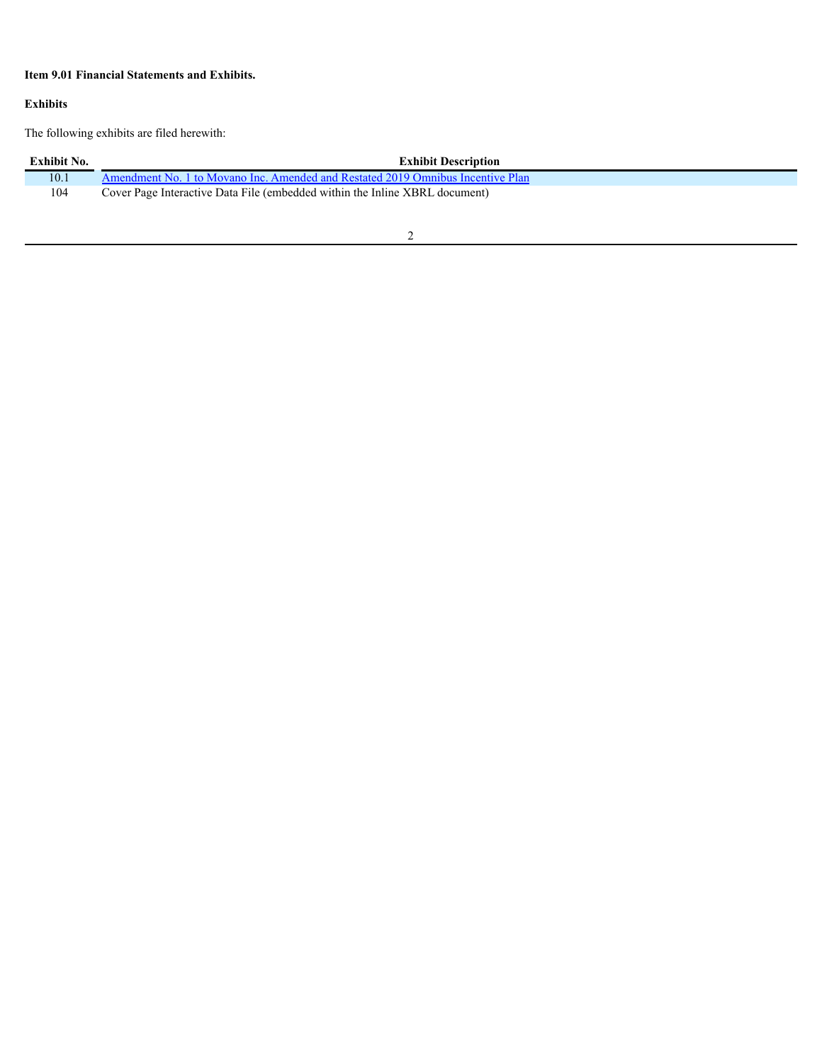# **Item 9.01 Financial Statements and Exhibits.**

### **Exhibits**

The following exhibits are filed herewith:

| Exhibit No. | <b>Exhibit Description</b>                                                      |
|-------------|---------------------------------------------------------------------------------|
| 10.1        | Amendment No. 1 to Movano Inc. Amended and Restated 2019 Omnibus Incentive Plan |
| 104         | Cover Page Interactive Data File (embedded within the Inline XBRL document)     |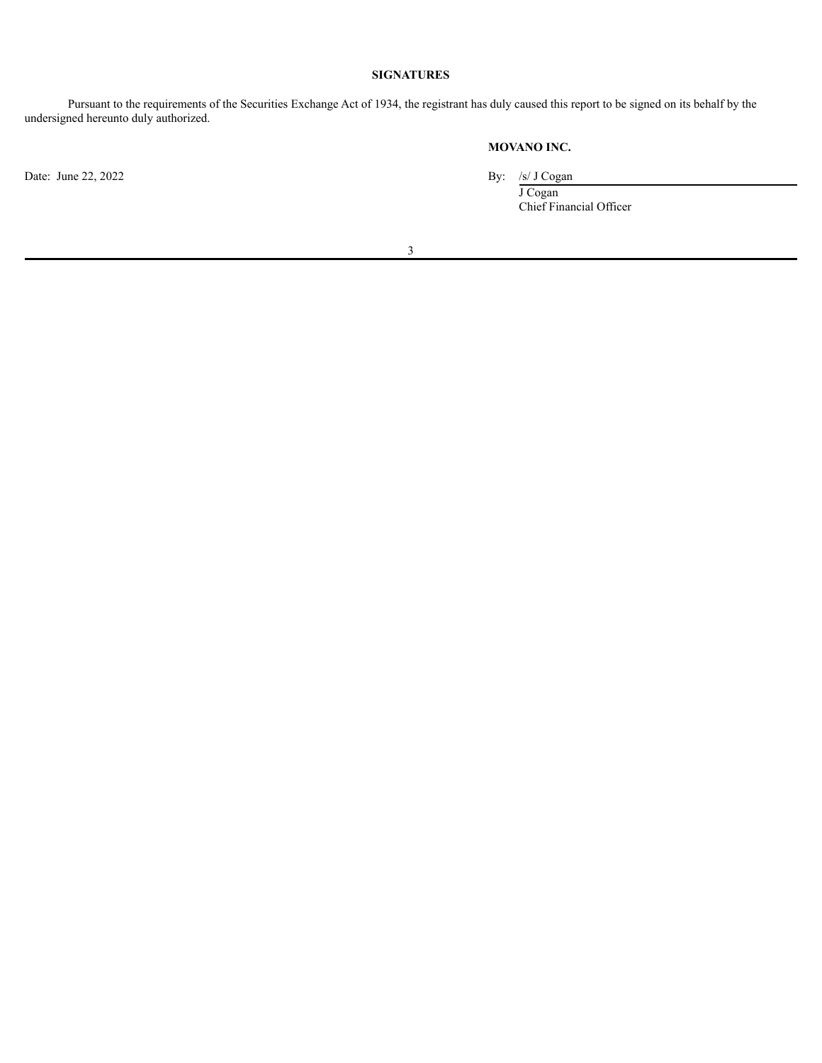### **SIGNATURES**

Pursuant to the requirements of the Securities Exchange Act of 1934, the registrant has duly caused this report to be signed on its behalf by the undersigned hereunto duly authorized.

# **MOVANO INC.**

Date: June 22, 2022 By: /s/ J Cogan

J Cogan Chief Financial Officer

3